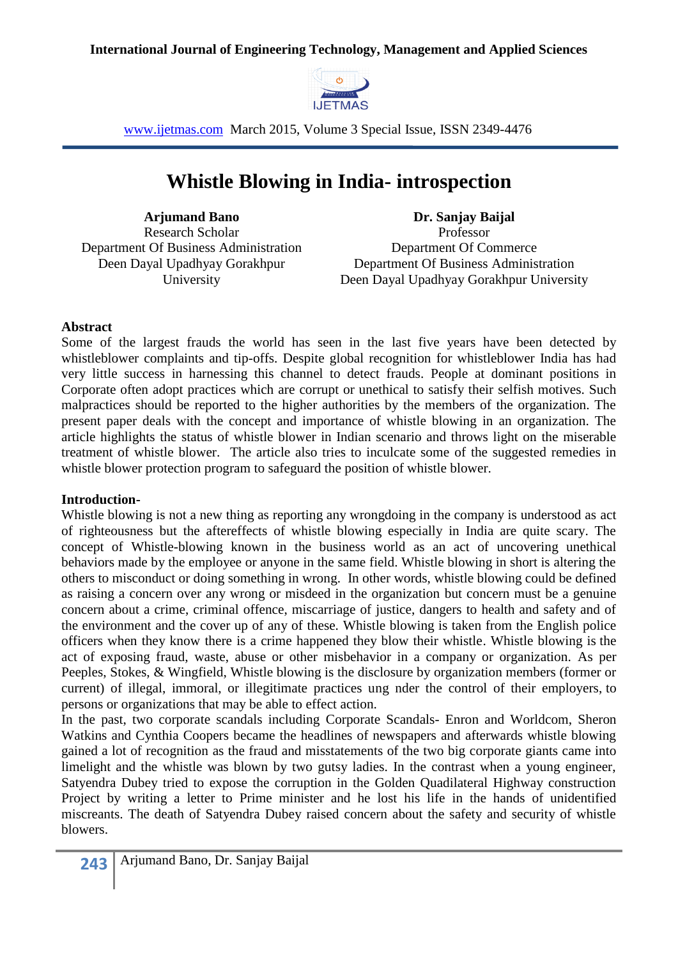

# **Whistle Blowing in India- introspection**

**Arjumand Bano** Research Scholar Department Of Business Administration Deen Dayal Upadhyay Gorakhpur University

**Dr. Sanjay Baijal** Professor Department Of Commerce Department Of Business Administration Deen Dayal Upadhyay Gorakhpur University

#### **Abstract**

Some of the largest frauds the world has seen in the last five years have been detected by whistleblower complaints and tip-offs. Despite global recognition for whistleblower India has had very little success in harnessing this channel to detect frauds. People at dominant positions in Corporate often adopt practices which are corrupt or unethical to satisfy their selfish motives. Such malpractices should be reported to the higher authorities by the members of the organization. The present paper deals with the concept and importance of whistle blowing in an organization. The article highlights the status of whistle blower in Indian scenario and throws light on the miserable treatment of whistle blower. The article also tries to inculcate some of the suggested remedies in whistle blower protection program to safeguard the position of whistle blower.

## **Introduction-**

Whistle blowing is not a new thing as reporting any wrongdoing in the company is understood as act of righteousness but the aftereffects of whistle blowing especially in India are quite scary. The concept of Whistle-blowing known in the business world as an act of uncovering unethical behaviors made by the employee or anyone in the same field. Whistle blowing in short is altering the others to misconduct or doing something in wrong. In other words, whistle blowing could be defined as raising a concern over any wrong or misdeed in the organization but concern must be a genuine concern about a crime, criminal offence, miscarriage of justice, dangers to health and safety and of the environment and the cover up of any of these. Whistle blowing is taken from the English police officers when they know there is a crime happened they blow their whistle. Whistle blowing is the act of exposing fraud, waste, abuse or other misbehavior in a company or organization. As per Peeples, Stokes, & Wingfield, Whistle blowing is the disclosure by organization members (former or current) of illegal, immoral, or illegitimate practices ung nder the control of their employers, to persons or organizations that may be able to effect action.

In the past, two corporate scandals including Corporate Scandals- Enron and Worldcom, Sheron Watkins and Cynthia Coopers became the headlines of newspapers and afterwards whistle blowing gained a lot of recognition as the fraud and misstatements of the two big corporate giants came into limelight and the whistle was blown by two gutsy ladies. In the contrast when a young engineer, Satyendra Dubey tried to expose the corruption in the Golden Quadilateral Highway construction Project by writing a letter to Prime minister and he lost his life in the hands of unidentified miscreants. The death of Satyendra Dubey raised concern about the safety and security of whistle blowers.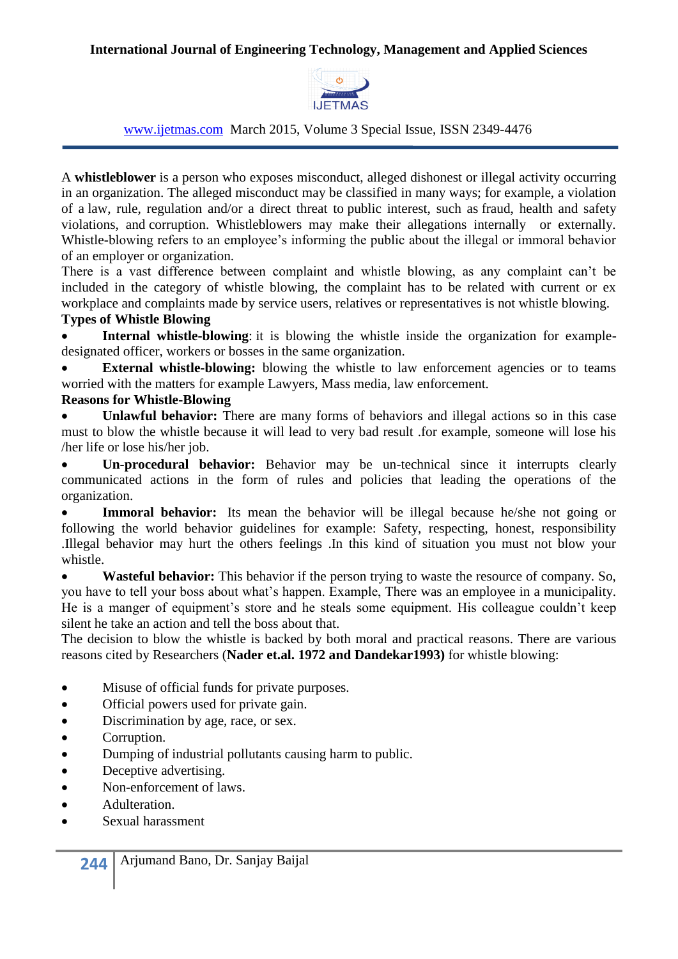

#### www.ijetmas.com March 2015, Volume 3 Special Issue, ISSN 2349-4476

A **whistleblower** is a person who exposes [misconduct,](http://en.wikipedia.org/wiki/Misconduct) alleged dishonest or illegal activity occurring in an organization. The alleged misconduct may be classified in many ways; for example, a violation of a [law,](http://en.wikipedia.org/wiki/Law) rule, regulation and/or a direct threat to [public interest,](http://en.wikipedia.org/wiki/Public_interest) such as [fraud,](http://en.wikipedia.org/wiki/Fraud) health and safety violations, and [corruption.](http://en.wikipedia.org/wiki/Political_corruption) Whistleblowers may make their allegations internally or externally. Whistle-blowing refers to an employee's informing the public about the illegal or immoral behavior of an employer or organization.

There is a vast difference between complaint and whistle blowing, as any complaint can't be included in the category of whistle blowing, the complaint has to be related with current or ex workplace and complaints made by service users, relatives or representatives is not whistle blowing.

# **Types of Whistle Blowing**

 **Internal whistle-blowing**: it is blowing the whistle inside the organization for exampledesignated officer, workers or bosses in the same organization.

**External whistle-blowing:** blowing the whistle to law enforcement agencies or to teams worried with the matters for example Lawyers, Mass media, law enforcement.

# **Reasons for Whistle-Blowing**

 **Unlawful behavior:** There are many forms of behaviors and illegal actions so in this case must to blow the whistle because it will lead to very bad result .for example, someone will lose his /her life or lose his/her job.

 **Un-procedural behavior:** Behavior may be un-technical since it interrupts clearly communicated actions in the form of rules and policies that leading the operations of the organization.

Immoral behavior: Its mean the behavior will be illegal because he/she not going or following the world behavior guidelines for example: Safety, respecting, honest, responsibility .Illegal behavior may hurt the others feelings .In this kind of situation you must not blow your whistle.

 **Wasteful behavior:** This behavior if the person trying to waste the resource of company. So, you have to tell your boss about what's happen. Example, There was an employee in a municipality. He is a manger of equipment's store and he steals some equipment. His colleague couldn't keep silent he take an action and tell the boss about that.

The decision to blow the whistle is backed by both moral and practical reasons. There are various reasons cited by Researchers (**Nader et.al. 1972 and Dandekar1993)** for whistle blowing:

- Misuse of official funds for private purposes.
- Official powers used for private gain.
- Discrimination by age, race, or sex.
- Corruption.
- Dumping of industrial pollutants causing harm to public.
- Deceptive advertising.
- Non-enforcement of laws.
- Adulteration.
- Sexual harassment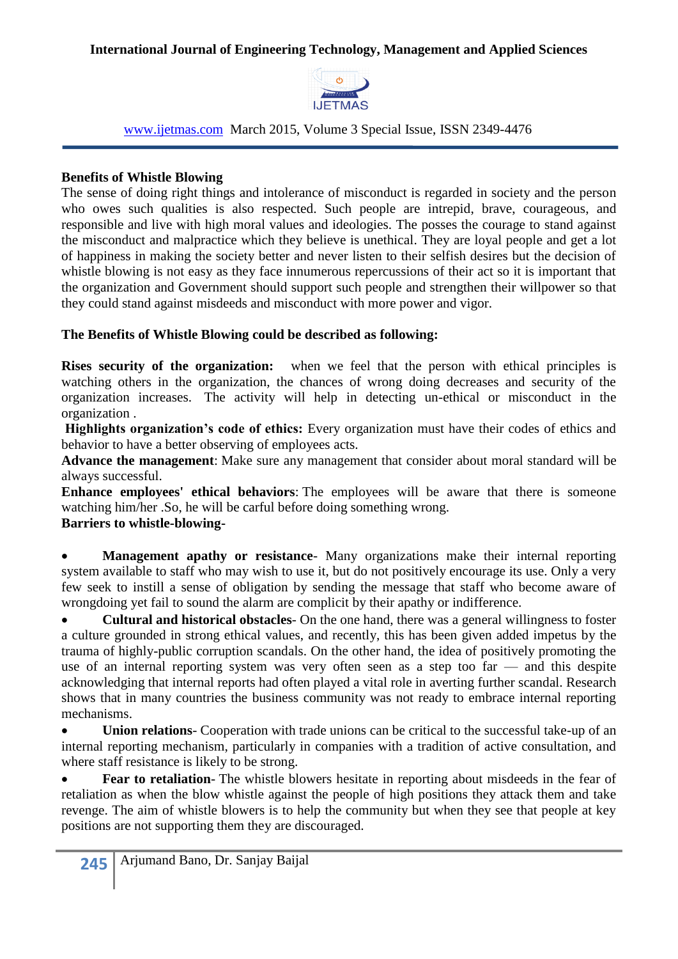

www.ijetmas.com March 2015, Volume 3 Special Issue, ISSN 2349-4476

# **Benefits of Whistle Blowing**

The sense of doing right things and intolerance of misconduct is regarded in society and the person who owes such qualities is also respected. Such people are intrepid, brave, courageous, and responsible and live with high moral values and ideologies. The posses the courage to stand against the misconduct and malpractice which they believe is unethical. They are loyal people and get a lot of happiness in making the society better and never listen to their selfish desires but the decision of whistle blowing is not easy as they face innumerous repercussions of their act so it is important that the organization and Government should support such people and strengthen their willpower so that they could stand against misdeeds and misconduct with more power and vigor.

# **The Benefits of Whistle Blowing could be described as following:**

**Rises security of the organization:** when we feel that the person with ethical principles is watching others in the organization, the chances of wrong doing decreases and security of the organization increases. The activity will help in detecting un-ethical or misconduct in the organization .

**Highlights organization's code of ethics:** Every organization must have their codes of ethics and behavior to have a better observing of employees acts.

**Advance the management**: Make sure any management that consider about moral standard will be always successful.

**Enhance employees' ethical behaviors**: The employees will be aware that there is someone watching him/her .So, he will be carful before doing something wrong. **Barriers to whistle-blowing-**

 **Management apathy or resistance**- Many organizations make their internal reporting system available to staff who may wish to use it, but do not positively encourage its use. Only a very few seek to instill a sense of obligation by sending the message that staff who become aware of wrongdoing yet fail to sound the alarm are complicit by their apathy or indifference.

 **Cultural and historical obstacles**- On the one hand, there was a general willingness to foster a culture grounded in strong ethical values, and recently, this has been given added impetus by the trauma of highly-public corruption scandals. On the other hand, the idea of positively promoting the use of an internal reporting system was very often seen as a step too far — and this despite acknowledging that internal reports had often played a vital role in averting further scandal. Research shows that in many countries the business community was not ready to embrace internal reporting mechanisms.

 **Union relations**- Cooperation with trade unions can be critical to the successful take-up of an internal reporting mechanism, particularly in companies with a tradition of active consultation, and where staff resistance is likely to be strong.

 **Fear to retaliation**- The whistle blowers hesitate in reporting about misdeeds in the fear of retaliation as when the blow whistle against the people of high positions they attack them and take revenge. The aim of whistle blowers is to help the community but when they see that people at key positions are not supporting them they are discouraged.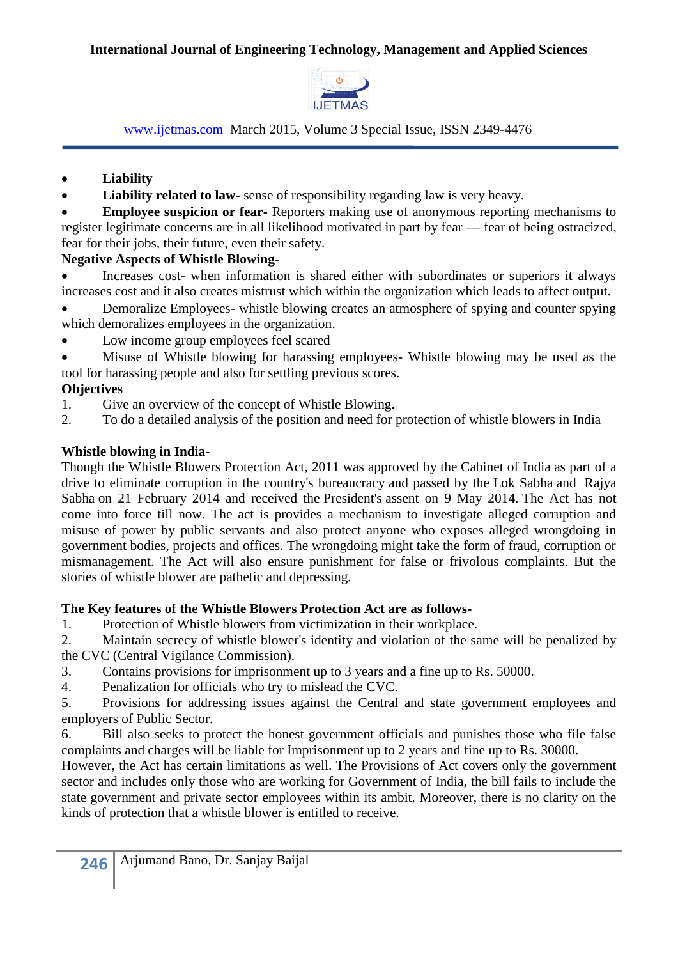

# **Liability**

• **Liability related to law-** sense of responsibility regarding law is very heavy.

 **Employee suspicion or fear-** Reporters making use of anonymous reporting mechanisms to register legitimate concerns are in all likelihood motivated in part by fear — fear of being ostracized, fear for their jobs, their future, even their safety.

# **Negative Aspects of Whistle Blowing-**

 Increases cost- when information is shared either with subordinates or superiors it always increases cost and it also creates mistrust which within the organization which leads to affect output.

• Demoralize Employees- whistle blowing creates an atmosphere of spying and counter spying which demoralizes employees in the organization.

• Low income group employees feel scared

 Misuse of Whistle blowing for harassing employees- Whistle blowing may be used as the tool for harassing people and also for settling previous scores.

# **Objectives**

- 1. Give an overview of the concept of Whistle Blowing.
- 2. To do a detailed analysis of the position and need for protection of whistle blowers in India

## **Whistle blowing in India-**

Though the Whistle Blowers Protection Act, 2011 was approved by the [Cabinet of India](http://en.wikipedia.org/wiki/Cabinet_of_India) as part of a drive to eliminate corruption in the country's bureaucracy and passed by the [Lok Sabha](http://en.wikipedia.org/wiki/Lok_Sabha) and [Rajya](http://en.wikipedia.org/wiki/Rajya_Sabha)  [Sabha](http://en.wikipedia.org/wiki/Rajya_Sabha) on 21 February 2014 and received the [President's](http://en.wikipedia.org/wiki/President_of_India) assent on 9 May 2014. The Act has not come into force till now. The act is provides a mechanism to investigate alleged corruption and misuse of power by public servants and also protect anyone who exposes alleged wrongdoing in government bodies, projects and offices. The wrongdoing might take the form of fraud, corruption or mismanagement. The Act will also ensure punishment for false or frivolous complaints. But the stories of whistle blower are pathetic and depressing.

## **The Key features of the Whistle Blowers Protection Act are as follows-**

1. Protection of Whistle blowers from victimization in their workplace.

2. Maintain secrecy of whistle blower's identity and violation of the same will be penalized by the CVC (Central Vigilance Commission).

- 3. Contains provisions for imprisonment up to 3 years and a fine up to Rs. 50000.
- 4. Penalization for officials who try to mislead the CVC.

5. Provisions for addressing issues against the Central and state government employees and employers of Public Sector.

6. Bill also seeks to protect the honest government officials and punishes those who file false complaints and charges will be liable for Imprisonment up to 2 years and fine up to Rs. 30000.

However, the Act has certain limitations as well. The Provisions of Act covers only the government sector and includes only those who are working for Government of India, the bill fails to include the state government and private sector employees within its ambit. Moreover, there is no clarity on the kinds of protection that a whistle blower is entitled to receive.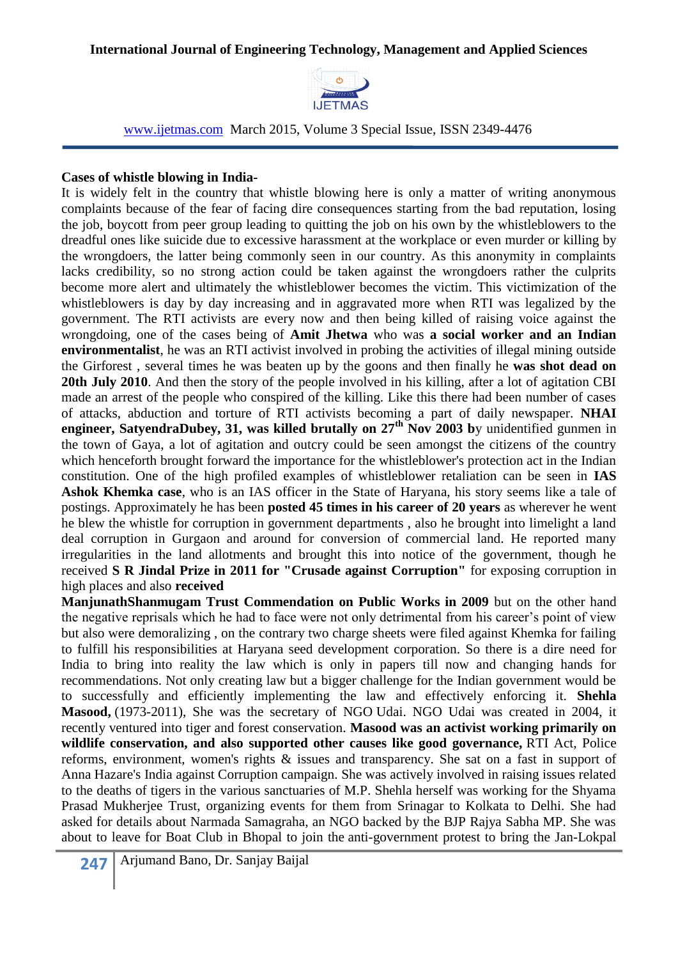

#### **Cases of whistle blowing in India-**

It is widely felt in the country that whistle blowing here is only a matter of writing anonymous complaints because of the fear of facing dire consequences starting from the bad reputation, losing the job, boycott from peer group leading to quitting the job on his own by the whistleblowers to the dreadful ones like suicide due to excessive harassment at the workplace or even murder or killing by the wrongdoers, the latter being commonly seen in our country. As this anonymity in complaints lacks credibility, so no strong action could be taken against the wrongdoers rather the culprits become more alert and ultimately the whistleblower becomes the victim. This victimization of the whistleblowers is day by day increasing and in aggravated more when RTI was legalized by the government. The RTI activists are every now and then being killed of raising voice against the wrongdoing, one of the cases being of **Amit Jhetwa** who was **a social worker and an Indian environmentalist**, he was an RTI activist involved in probing the activities of illegal mining outside the Girforest , several times he was beaten up by the goons and then finally he **was shot dead on 20th July 2010**. And then the story of the people involved in his killing, after a lot of agitation CBI made an arrest of the people who conspired of the killing. Like this there had been number of cases of attacks, abduction and torture of RTI activists becoming a part of daily newspaper. **NHAI engineer, SatyendraDubey, 31, was killed brutally on 27th Nov 2003 b**y unidentified gunmen in the town of Gaya, a lot of agitation and outcry could be seen amongst the citizens of the country which henceforth brought forward the importance for the whistleblower's protection act in the Indian constitution. One of the high profiled examples of whistleblower retaliation can be seen in **IAS Ashok Khemka case**, who is an IAS officer in the State of Haryana, his story seems like a tale of postings. Approximately he has been **posted 45 times in his career of 20 years** as wherever he went he blew the whistle for corruption in government departments , also he brought into limelight a land deal corruption in Gurgaon and around for conversion of commercial land. He reported many irregularities in the land allotments and brought this into notice of the government, though he received **S R Jindal Prize in 2011 for "Crusade against Corruption"** for exposing corruption in high places and also **received**

**ManjunathShanmugam Trust Commendation on Public Works in 2009** but on the other hand the negative reprisals which he had to face were not only detrimental from his career's point of view but also were demoralizing , on the contrary two charge sheets were filed against Khemka for failing to fulfill his responsibilities at Haryana seed development corporation. So there is a dire need for India to bring into reality the law which is only in papers till now and changing hands for recommendations. Not only creating law but a bigger challenge for the Indian government would be to successfully and efficiently implementing the law and effectively enforcing it. **Shehla Masood,** (1973-2011), She was the secretary of NGO Udai. NGO Udai was created in 2004, it recently ventured into tiger and forest conservation. **Masood was an activist working primarily on wildlife conservation, and also supported other causes like good governance,** RTI Act, Police reforms, environment, women's rights & issues and transparency. She sat on a fast in support of Anna Hazare's India against Corruption campaign. She was actively involved in raising issues related to the deaths of tigers in the various sanctuaries of M.P. Shehla herself was working for the Shyama Prasad Mukherjee Trust, organizing events for them from Srinagar to Kolkata to Delhi. She had asked for details about Narmada Samagraha, an NGO backed by the BJP Rajya Sabha MP. She was about to leave for Boat Club in Bhopal to join the anti-government protest to bring the Jan-Lokpal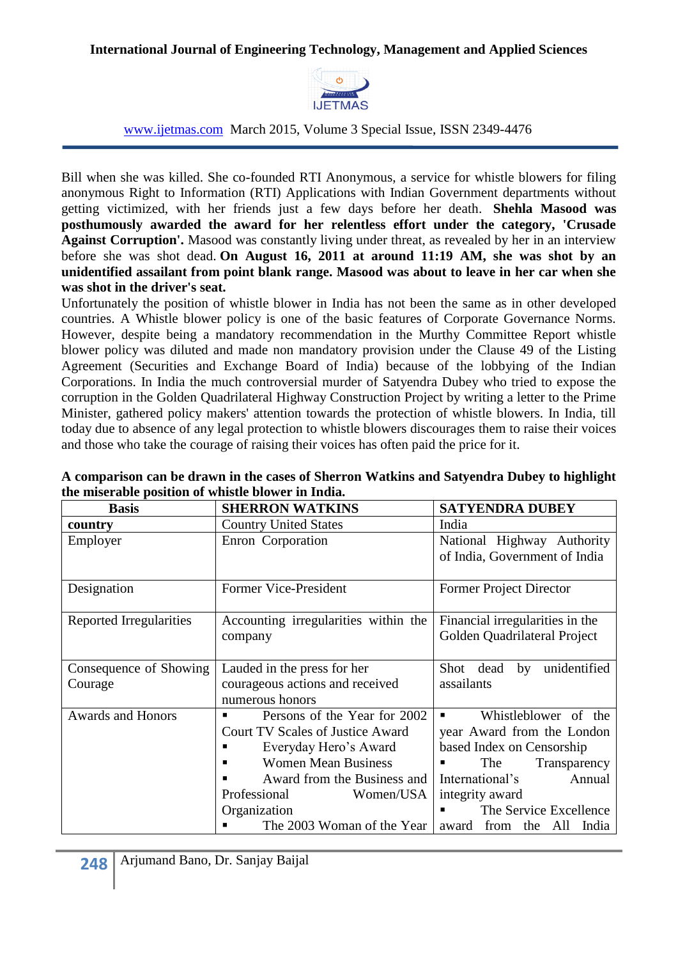

www.ijetmas.com March 2015, Volume 3 Special Issue, ISSN 2349-4476

Bill when she was killed. She co-founded RTI Anonymous, a service for whistle blowers for filing anonymous Right to Information (RTI) Applications with Indian Government departments without getting victimized, with her friends just a few days before her death. **Shehla Masood was posthumously awarded the award for her relentless effort under the category, 'Crusade Against Corruption'.** Masood was constantly living under threat, as revealed by her in an interview before she was shot dead. **On August 16, 2011 at around 11:19 AM, she was shot by an unidentified assailant from point blank range. Masood was about to leave in her car when she was shot in the driver's seat.**

Unfortunately the position of whistle blower in India has not been the same as in other developed countries. A Whistle blower policy is one of the basic features of Corporate Governance Norms. However, despite being a mandatory recommendation in the Murthy Committee Report whistle blower policy was diluted and made non mandatory provision under the Clause 49 of the Listing Agreement (Securities and Exchange Board of India) because of the lobbying of the Indian Corporations. In India the much controversial murder of Satyendra Dubey who tried to expose the corruption in the Golden Quadrilateral Highway Construction Project by writing a letter to the Prime Minister, gathered policy makers' attention towards the protection of whistle blowers. In India, till today due to absence of any legal protection to whistle blowers discourages them to raise their voices and those who take the courage of raising their voices has often paid the price for it.

| <b>Basis</b>             | <b>SHERRON WATKINS</b>                             | <b>SATYENDRA DUBEY</b>                                          |
|--------------------------|----------------------------------------------------|-----------------------------------------------------------------|
| country                  | <b>Country United States</b>                       | India                                                           |
| Employer                 | Enron Corporation                                  | National Highway Authority<br>of India, Government of India     |
| Designation              | Former Vice-President                              | Former Project Director                                         |
| Reported Irregularities  | Accounting irregularities within the<br>company    | Financial irregularities in the<br>Golden Quadrilateral Project |
| Consequence of Showing   | Lauded in the press for her                        | unidentified<br>Shot dead<br>by                                 |
| Courage                  | courageous actions and received<br>numerous honors | assailants                                                      |
| <b>Awards and Honors</b> | Persons of the Year for 2002<br>■                  | Whistleblower of the<br>$\blacksquare$                          |
|                          | <b>Court TV Scales of Justice Award</b>            | year Award from the London                                      |
|                          | Everyday Hero's Award                              | based Index on Censorship                                       |
|                          | <b>Women Mean Business</b>                         | The<br>Transparency                                             |
|                          | Award from the Business and                        | International's<br>Annual                                       |
|                          | Professional<br>Women/USA                          | integrity award                                                 |
|                          | Organization                                       | The Service Excellence                                          |
|                          | The 2003 Woman of the Year                         | award from the All India                                        |

| A comparison can be drawn in the cases of Sherron Watkins and Satyendra Dubey to highlight |  |
|--------------------------------------------------------------------------------------------|--|
| the miserable position of whistle blower in India.                                         |  |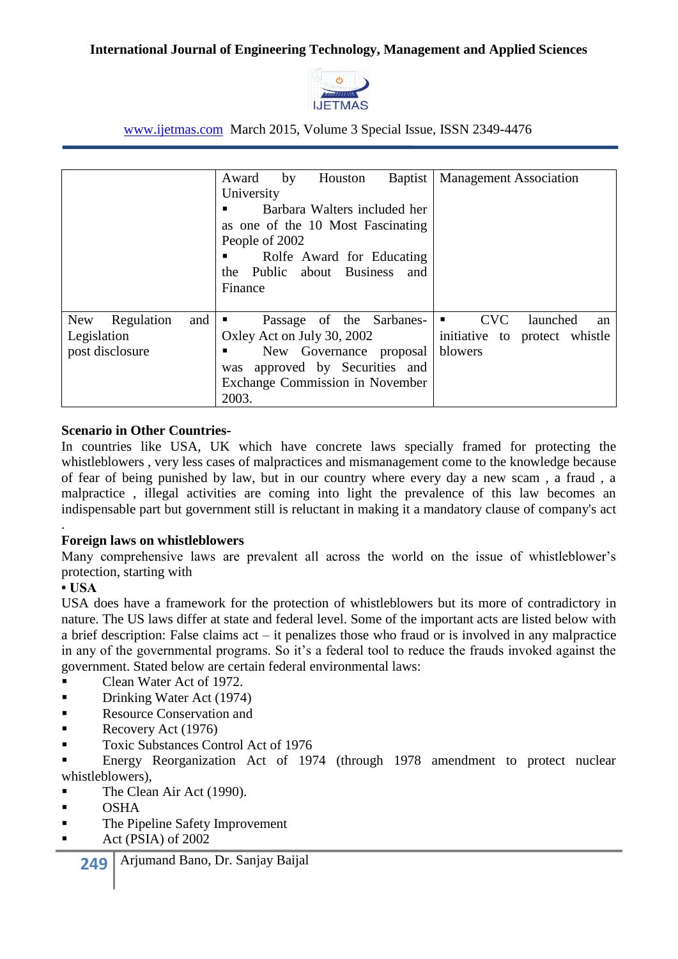

www.ijetmas.com March 2015, Volume 3 Special Issue, ISSN 2349-4476

|                                                                   | Houston<br>Award<br><b>Baptist</b><br>by<br>University<br>Barbara Walters included her<br>as one of the 10 Most Fascinating<br>People of 2002<br>Rolfe Award for Educating<br>the Public about Business<br>and<br>Finance | <b>Management Association</b>                                                              |
|-------------------------------------------------------------------|---------------------------------------------------------------------------------------------------------------------------------------------------------------------------------------------------------------------------|--------------------------------------------------------------------------------------------|
| <b>New</b><br>Regulation<br>and<br>Legislation<br>post disclosure | Passage of the Sarbanes-<br>Oxley Act on July 30, 2002<br>New Governance proposal<br>was approved by Securities and<br>Exchange Commission in November<br>2003.                                                           | <b>CVC</b><br>launched<br>$\blacksquare$<br>an<br>initiative to protect whistle<br>blowers |

# **Scenario in Other Countries-**

In countries like USA, UK which have concrete laws specially framed for protecting the whistleblowers , very less cases of malpractices and mismanagement come to the knowledge because of fear of being punished by law, but in our country where every day a new scam , a fraud , a malpractice , illegal activities are coming into light the prevalence of this law becomes an indispensable part but government still is reluctant in making it a mandatory clause of company's act

## **Foreign laws on whistleblowers**

Many comprehensive laws are prevalent all across the world on the issue of whistleblower's protection, starting with

## **• USA**

.

USA does have a framework for the protection of whistleblowers but its more of contradictory in nature. The US laws differ at state and federal level. Some of the important acts are listed below with a brief description: False claims act – it penalizes those who fraud or is involved in any malpractice in any of the governmental programs. So it's a federal tool to reduce the frauds invoked against the government. Stated below are certain federal environmental laws:

- Clean Water Act of 1972.
- **Drinking Water Act (1974)**
- **Resource Conservation and**
- Recovery Act  $(1976)$
- Toxic Substances Control Act of 1976

 Energy Reorganization Act of 1974 (through 1978 amendment to protect nuclear whistleblowers),

- The Clean Air Act (1990).
- $\blacksquare$  OSHA
- **The Pipeline Safety Improvement**
- Act (PSIA) of 2002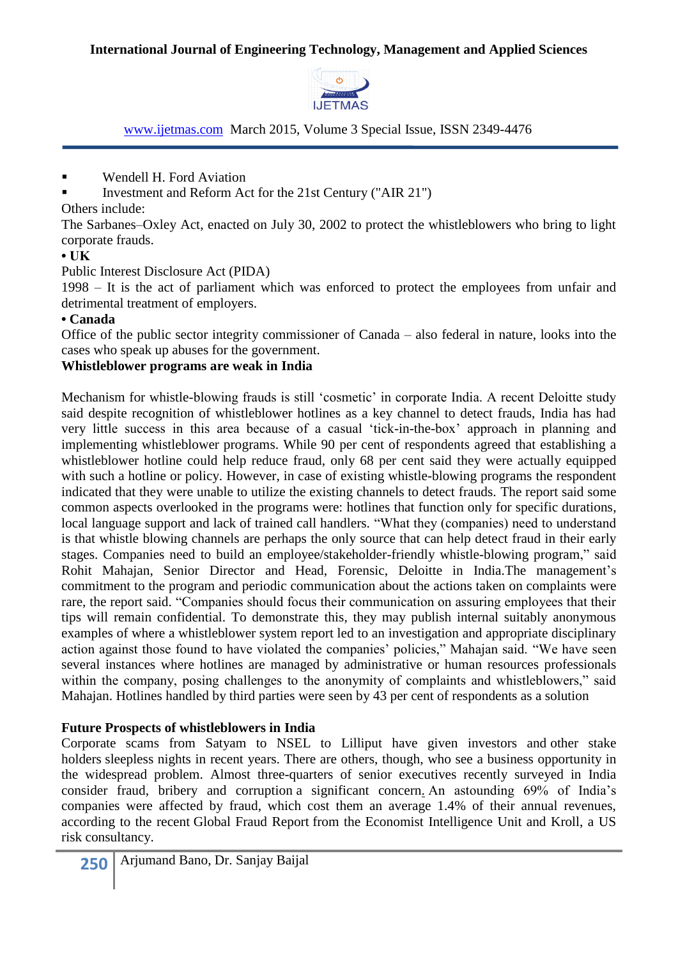

- **Wendell H. Ford Aviation**
- Investment and Reform Act for the 21st Century ("AIR 21")

Others include:

The Sarbanes–Oxley Act, enacted on July 30, 2002 to protect the whistleblowers who bring to light corporate frauds.

# **• UK**

Public Interest Disclosure Act (PIDA)

1998 – It is the act of parliament which was enforced to protect the employees from unfair and detrimental treatment of employers.

## **• Canada**

Office of the public sector integrity commissioner of Canada – also federal in nature, looks into the cases who speak up abuses for the government.

# **Whistleblower programs are weak in India**

Mechanism for whistle-blowing frauds is still 'cosmetic' in corporate India. A recent Deloitte study said despite recognition of whistleblower hotlines as a key channel to detect frauds, India has had very little success in this area because of a casual ‗tick-in-the-box' approach in planning and implementing whistleblower programs. While 90 per cent of respondents agreed that establishing a whistleblower hotline could help reduce fraud, only 68 per cent said they were actually equipped with such a hotline or policy. However, in case of existing whistle-blowing programs the respondent indicated that they were unable to utilize the existing channels to detect frauds. The report said some common aspects overlooked in the programs were: hotlines that function only for specific durations, local language support and lack of trained call handlers. "What they (companies) need to understand is that whistle blowing channels are perhaps the only source that can help detect fraud in their early stages. Companies need to build an employee/stakeholder-friendly whistle-blowing program," said Rohit Mahajan, Senior Director and Head, Forensic, Deloitte in India.The management's commitment to the program and periodic communication about the actions taken on complaints were rare, the report said. "Companies should focus their communication on assuring employees that their tips will remain confidential. To demonstrate this, they may publish internal suitably anonymous examples of where a whistleblower system report led to an investigation and appropriate disciplinary action against those found to have violated the companies' policies," Mahajan said. "We have seen several instances where hotlines are managed by administrative or human resources professionals within the company, posing challenges to the anonymity of complaints and whistleblowers," said Mahajan. Hotlines handled by third parties were seen by 43 per cent of respondents as a solution

# **Future Prospects of whistleblowers in India**

Corporate scams from Satyam to NSEL to Lilliput have given investors and [other stake](http://in.reuters.com/article/2014/06/13/bain-lawsuit-lilliput-kidswear-idINKBN0EO0CP20140613) [holders](http://in.reuters.com/article/2014/06/13/bain-lawsuit-lilliput-kidswear-idINKBN0EO0CP20140613) sleepless nights in recent years. There are others, though, who see a business opportunity in the widespread problem. Almost three-quarters of senior executives recently surveyed in India consider fraud, bribery and corruption [a significant concern.](http://www.business-standard.com/article/pti-stories/fraud-bribery-corruption-remain-key-challenges-for-india-inc-114061100743_1.html) An astounding 69% of India's companies were affected by fraud, which cost them an average 1.4% of their annual revenues, according to the recent [Global Fraud Report](http://blogs.ft.com/beyond-brics/2013/10/25/india-leading-the-world-in-insider-corporate-fraud/?Authorised=false) from the Economist Intelligence Unit and Kroll, a US risk consultancy.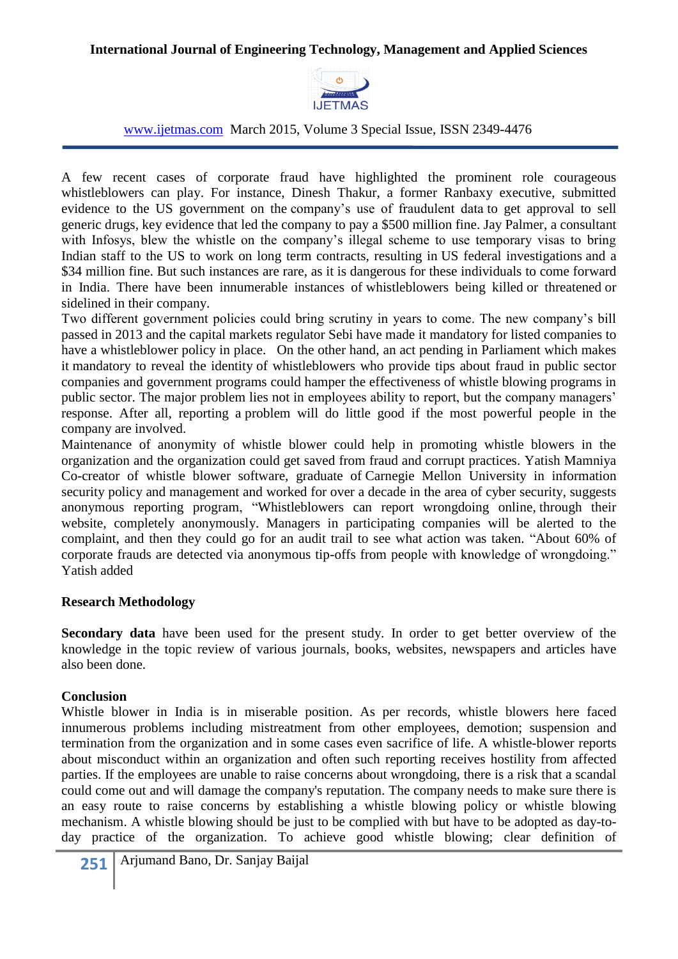

A few recent cases of corporate fraud have highlighted the prominent role courageous whistleblowers can play. For instance, Dinesh Thakur, a former Ranbaxy executive, submitted evidence to the US government on the [company's use of fraudulent data](http://articles.economictimes.indiatimes.com/2013-11-20/news/44285170_1_project-and-information-management-former-ranbaxy-executive-dinesh-thakur) to get approval to sell generic drugs, key evidence that led the company to pay a [\\$500 million fine.](http://www.thehindu.com/business/Industry/ranbaxy-got-usfda-nod-with-no-data-or-fraudulent-data-says-whistleblower/article5326014.ece) Jay Palmer, a consultant with Infosys, blew the whistle on the company's illegal scheme to use temporary visas to bring Indian staff to the US to work on long term contracts, resulting in [US federal investigations](http://www.bloomberg.com/news/2013-10-30/infosys-settles-with-u-s-in-visa-fraud-probe.html) and a \$34 million fine. But such instances are rare, as it is dangerous for these individuals to come forward in India. There have been innumerable instances of [whistleblowers being killed](http://www.thehindu.com/news/national/three-get-life-in-satyendra-dubey-murder-case/article315939.ece) or [threatened](http://zeenews.india.com/news/nation/my-familys-life-at-risk-ex-sebi-member-to-pm_729016.html) or sidelined in their company.

Two different government policies could bring scrutiny in years to come. The new company's bill passed in 2013 and the capital markets regulator Sebi have made it mandatory for listed companies to have a [whistleblower policy in place.](http://www.thehindu.com/business/markets/whistleblower-provision-mandatory-for-listed-firms-sebi/article5709482.ece) On the other hand, an act pending in Parliament which makes it [mandatory to reveal the identity](http://www.prsindia.org/billtrack/the-public-interest-disclosure-and-protection-of-persons-making-the-disclosures-bill-2010-1252/) of whistleblowers who provide tips about fraud in public sector companies and government programs could hamper the effectiveness of whistle blowing programs in public sector. The major problem lies not in employees ability to report, but the company managers' response. After all, reporting a problem will do little good if the most powerful people in the company are involved.

Maintenance of anonymity of whistle blower could help in promoting whistle blowers in the organization and the organization could get saved from fraud and corrupt practices. Yatish Mamniya Co-creator of whistle blower software, graduate of Carnegie Mellon University in information security policy and management and worked for over a decade in the area of cyber security, suggests anonymous reporting program, "Whistleblowers can report wrongdoing online, through their [website,](http://integritymatters.in/) completely anonymously. Managers in participating companies will be alerted to the complaint, and then they could go for an audit trail to see what action was taken. "About 60% of corporate frauds are detected via anonymous tip-offs from people with knowledge of wrongdoing." Yatish added

## **Research Methodology**

**Secondary data** have been used for the present study. In order to get better overview of the knowledge in the topic review of various journals, books, websites, newspapers and articles have also been done.

## **Conclusion**

Whistle blower in India is in miserable position. As per records, whistle blowers here faced innumerous problems including mistreatment from other employees, demotion; suspension and termination from the organization and in some cases even sacrifice of life. A whistle-blower reports about misconduct within an organization and often such reporting receives hostility from affected parties. If the employees are unable to raise concerns about wrongdoing, there is a risk that a scandal could come out and will damage the company's reputation. The company needs to make sure there is an easy route to raise concerns by establishing a whistle blowing policy or whistle blowing mechanism. A whistle blowing should be just to be complied with but have to be adopted as day-today practice of the organization. To achieve good whistle blowing; clear definition of